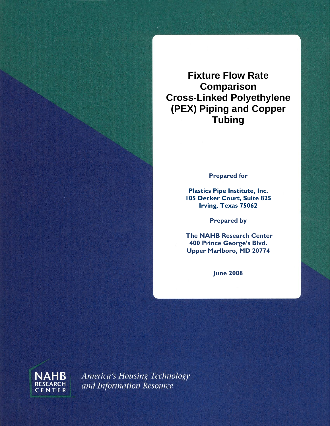**Fixture Flow Rate Comparison Cross-Linked Polyethylene (PEX) Piping and Copper Tubing** 

**Prepared for** 

**Plastics Pipe Institute, Inc. 105 Decker Court, Suite 825 Irving, Texas 75062** 

**Prepared by** 

 **The NAHB Research Center 400 Prince George's Blvd. Upper Marlboro, MD 20774** 

**June 2008** 



America's Housing Technology and Information Resource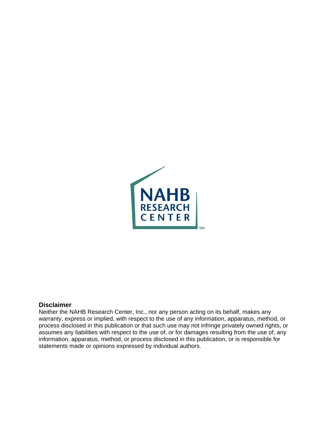

#### **Disclaimer**

Neither the NAHB Research Center, Inc., nor any person acting on its behalf, makes any warranty, express or implied, with respect to the use of any information, apparatus, method, or process disclosed in this publication or that such use may not infringe privately owned rights, or assumes any liabilities with respect to the use of, or for damages resulting from the use of, any information, apparatus, method, or process disclosed in this publication, or is responsible for statements made or opinions expressed by individual authors.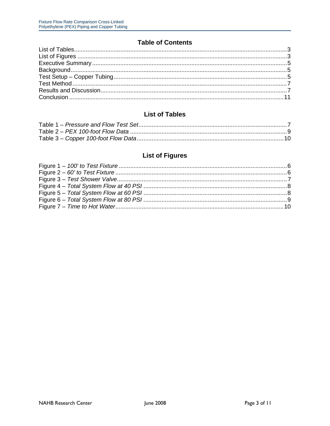### **Table of Contents**

<span id="page-2-0"></span>

### **List of Tables**

# **List of Figures**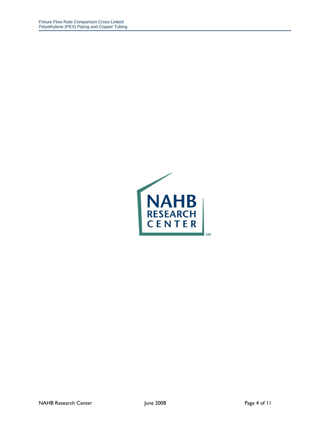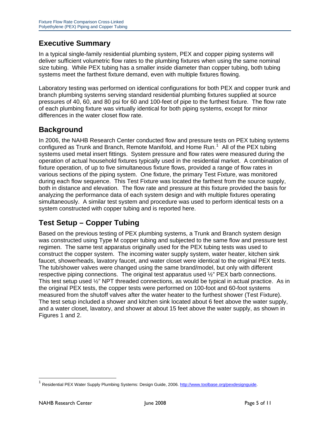# <span id="page-4-0"></span>**Executive Summary**

In a typical single-family residential plumbing system, PEX and copper piping systems will deliver sufficient volumetric flow rates to the plumbing fixtures when using the same nominal size tubing. While PEX tubing has a smaller inside diameter than copper tubing, both tubing systems meet the farthest fixture demand, even with multiple fixtures flowing.

Laboratory testing was performed on identical configurations for both PEX and copper trunk and branch plumbing systems serving standard residential plumbing fixtures supplied at source pressures of 40, 60, and 80 psi for 60 and 100-feet of pipe to the furthest fixture. The flow rate of each plumbing fixture was virtually identical for both piping systems, except for minor differences in the water closet flow rate.

# **Background**

In 2006, the NAHB Research Center conducted flow and pressure tests on PEX tubing systems configured as Trunk and Branch, Remote Manifold, and Home Run.<sup>[1](#page-4-1)</sup> All of the PEX tubing systems used metal insert fittings. System pressure and flow rates were measured during the operation of actual household fixtures typically used in the residential market. A combination of fixture operation, of up to five simultaneous fixture flows, provided a range of flow rates in various sections of the piping system. One fixture, the primary Test Fixture, was monitored during each flow sequence. This Test Fixture was located the farthest from the source supply, both in distance and elevation. The flow rate and pressure at this fixture provided the basis for analyzing the performance data of each system design and with multiple fixtures operating simultaneously. A similar test system and procedure was used to perform identical tests on a system constructed with copper tubing and is reported here.

# **Test Setup – Copper Tubing**

Based on the previous testing of PEX plumbing systems, a Trunk and Branch system design was constructed using Type M copper tubing and subjected to the same flow and pressure test regimen. The same test apparatus originally used for the PEX tubing tests was used to construct the copper system. The incoming water supply system, water heater, kitchen sink faucet, showerheads, lavatory faucet, and water closet were identical to the original PEX tests. The tub/shower valves were changed using the same brand/model, but only with different respective piping connections. The original test apparatus used  $\frac{1}{2}$ " PEX barb connections. This test setup used ½" NPT threaded connections, as would be typical in actual practice. As in the original PEX tests, the copper tests were performed on 100-foot and 60-foot systems measured from the shutoff valves after the water heater to the furthest shower (Test Fixture). The test setup included a shower and kitchen sink located about 6 feet above the water supply, and a water closet, lavatory, and shower at about 15 feet above the water supply, as shown in Figures 1 and 2.

 $\overline{a}$ 

<span id="page-4-1"></span><sup>&</sup>lt;sup>1</sup> Residential PEX Water Supply Plumbing Systems: Design Guide, 2006.<http://www.toolbase.org/pexdesignguide>.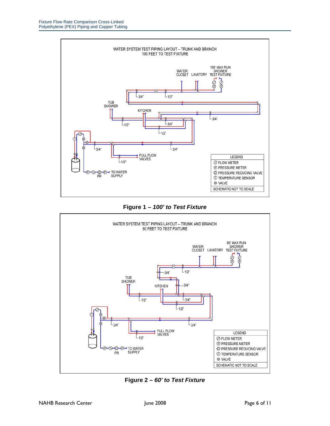<span id="page-5-0"></span>

#### **Figure 1** *– 100' to Test Fixture*



**Figure 2** *– 60' to Test Fixture*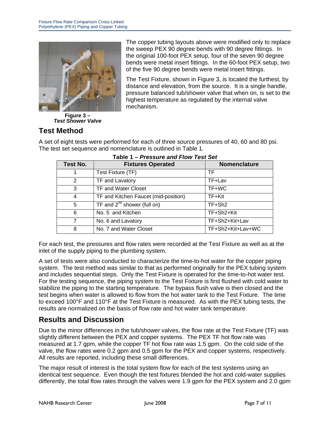<span id="page-6-0"></span>

**Figure 3** *– Test Shower Valve* 

**Test Method** 

The copper tubing layouts above were modified only to replace the sweep PEX 90 degree bends with 90 degree fittings. In the original 100-foot PEX setup, four of the seven 90 degree bends were metal insert fittings. In the 60-foot PEX setup, two of the five 90 degree bends were metal insert fittings.

The Test Fixture, shown in Figure 3, is located the furthest, by distance and elevation, from the source. It is a single handle, pressure balanced tub/shower valve that when on, is set to the highest temperature as regulated by the internal valve mechanism.

A set of eight tests were performed for each of three source pressures of 40, 60 and 80 psi. The test set sequence and nomenclature is outlined in Table 1.

| Test No. | <b>Fixtures Operated</b>             | <b>Nomenclature</b> |
|----------|--------------------------------------|---------------------|
| 1        | Test Fixture (TF)                    | TF.                 |
| 2        | TF and Lavatory                      | TF+Lav              |
| 3        | TF and Water Closet                  | TF+WC               |
| 4        | TF and Kitchen Faucet (mid-position) | TF+Kit              |
| 5        | TF and $2^{nd}$ shower (full on)     | TF+Sh <sub>2</sub>  |
| 6        | No. 5 and Kitchen                    | TF+Sh2+Kit          |
| 7        | No. 6 and Lavatory                   | TF+Sh2+Kit+Lav      |
| 8        | No. 7 and Water Closet               | TF+Sh2+Kit+Lav+WC   |

### **Table 1** *– Pressure and Flow Test Set*

For each test, the pressures and flow rates were recorded at the Test Fixture as well as at the inlet of the supply piping to the plumbing system.

A set of tests were also conducted to characterize the time-to-hot water for the copper piping system. The test method was similar to that as performed originally for the PEX tubing system and includes sequential steps. Only the Test Fixture is operated for the time-to-hot water test. For the testing sequence, the piping system to the Test Fixture is first flushed with cold water to stabilize the piping to the starting temperature. The bypass flush valve is then closed and the test begins when water is allowed to flow from the hot water tank to the Test Fixture. The time to exceed 100°F and 110°F at the Test Fixture is measured. As with the PEX tubing tests, the results are normalized on the basis of flow rate and hot water tank temperature.

# **Results and Discussion**

Due to the minor differences in the tub/shower valves, the flow rate at the Test Fixture (TF) was slightly different between the PEX and copper systems. The PEX TF hot flow rate was measured at 1.7 gpm, while the copper TF hot flow rate was 1.5 gpm. On the cold side of the valve, the flow rates were 0.2 gpm and 0.5 gpm for the PEX and copper systems, respectively. All results are reported, including these small differences.

The major result of interest is the total system flow for each of the test systems using an identical test sequence. Even though the test fixtures blended the hot and cold-water supplies differently, the total flow rates through the valves were 1.9 gpm for the PEX system and 2.0 gpm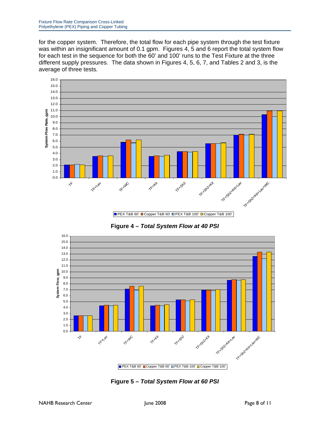<span id="page-7-0"></span>for the copper system. Therefore, the total flow for each pipe system through the test fixture was within an insignificant amount of 0.1 gpm. Figures 4, 5 and 6 report the total system flow for each test in the sequence for both the 60' and 100' runs to the Test Fixture at the three different supply pressures. The data shown in Figures 4, 5, 6, 7, and Tables 2 and 3, is the average of three tests.



**Figure 4** *– Total System Flow at 40 PSI* 



**Figure 5 –** *Total System Flow at 60 PSI*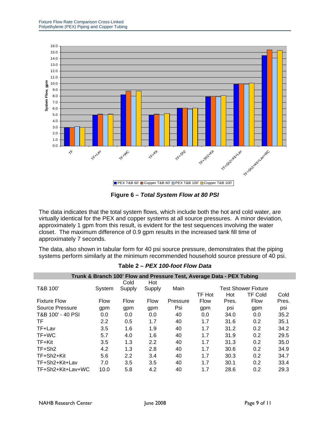<span id="page-8-0"></span>

**Figure 6** *– Total System Flow at 80 PSI*

The data indicates that the total system flows, which include both the hot and cold water, are virtually identical for the PEX and copper systems at all source pressures. A minor deviation, approximately 1 gpm from this result, is evident for the test sequences involving the water closet. The maximum difference of 0.9 gpm results in the increased tank fill time of approximately 7 seconds.

The data, also shown in tabular form for 40 psi source pressure, demonstrates that the piping systems perform similarly at the minimum recommended household source pressure of 40 psi.

| Trunk & Branch 100' Flow and Pressure Test, Average Data - PEX Tubing |             |             |             |          |                            |       |                |       |
|-----------------------------------------------------------------------|-------------|-------------|-------------|----------|----------------------------|-------|----------------|-------|
|                                                                       |             | Cold        | Hot         |          |                            |       |                |       |
| T&B 100'                                                              | System      | Supply      | Supply      | Main     | <b>Test Shower Fixture</b> |       |                |       |
|                                                                       |             |             |             |          | TF Hot                     | Hot   | <b>TF Cold</b> | Cold  |
| <b>Fixture Flow</b>                                                   | <b>Flow</b> | <b>Flow</b> | <b>Flow</b> | Pressure | <b>Flow</b>                | Pres. | <b>Flow</b>    | Pres. |
| Source Pressure                                                       | gpm         | gpm         | gpm         | Psi      | gpm                        | psi   | gpm            | psi   |
| T&B 100' - 40 PSI                                                     | 0.0         | 0.0         | 0.0         | 40       | 0.0                        | 34.0  | 0.0            | 35.2  |
| TF                                                                    | 2.2         | 0.5         | 1.7         | 40       | 1.7                        | 31.6  | 0.2            | 35.1  |
| TF+Lav                                                                | 3.5         | 1.6         | 1.9         | 40       | 1.7                        | 31.2  | 0.2            | 34.2  |
| TF+WC                                                                 | 5.7         | 4.0         | 1.6         | 40       | 1.7                        | 31.9  | 0.2            | 29.5  |
| TF+Kit                                                                | 3.5         | 1.3         | 2.2         | 40       | 1.7                        | 31.3  | 0.2            | 35.0  |
| TF+Sh <sub>2</sub>                                                    | 4.2         | 1.3         | 2.8         | 40       | 1.7                        | 30.6  | 0.2            | 34.9  |
| TF+Sh2+Kit                                                            | 5.6         | 2.2         | 3.4         | 40       | 1.7                        | 30.3  | 0.2            | 34.7  |
| TF+Sh2+Kit+Lav                                                        | 7.0         | 3.5         | 3.5         | 40       | 1.7                        | 30.1  | 0.2            | 33.4  |
| TF+Sh2+Kit+Lav+WC                                                     | 10.0        | 5.8         | 4.2         | 40       | 1.7                        | 28.6  | 0.2            | 29.3  |

**Table 2** *– PEX 100-foot Flow Data* 

I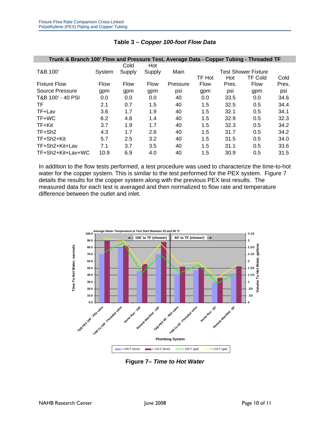<span id="page-9-0"></span>

| Trunk & Branch 100' Flow and Pressure Test, Average Data - Copper Tubing - Threaded TF |             |             |             |          |                            |       |                |       |
|----------------------------------------------------------------------------------------|-------------|-------------|-------------|----------|----------------------------|-------|----------------|-------|
|                                                                                        |             | Cold        | Hot         |          |                            |       |                |       |
| T&B 100'                                                                               | System      | Supply      | Supply      | Main     | <b>Test Shower Fixture</b> |       |                |       |
|                                                                                        |             |             |             |          | TF Hot                     | Hot   | <b>TF Cold</b> | Cold  |
| <b>Fixture Flow</b>                                                                    | <b>Flow</b> | <b>Flow</b> | <b>Flow</b> | Pressure | <b>Flow</b>                | Pres. | Flow           | Pres. |
| Source Pressure                                                                        | gpm         | gpm         | gpm         | psi      | gpm                        | psi   | gpm            | psi   |
| T&B 100' - 40 PSI                                                                      | 0.0         | 0.0         | 0.0         | 40       | 0.0                        | 33.5  | 0.0            | 34.6  |
| TF.                                                                                    | 2.1         | 0.7         | 1.5         | 40       | 1.5                        | 32.5  | 0.5            | 34.4  |
| TF+Lav                                                                                 | 3.6         | 1.7         | 1.9         | 40       | 1.5                        | 32.1  | 0.5            | 34.1  |
| TF+WC                                                                                  | 6.2         | 4.8         | 1.4         | 40       | 1.5                        | 32.9  | 0.5            | 32.3  |
| TF+Kit                                                                                 | 3.7         | 1.9         | 1.7         | 40       | 1.5                        | 32.3  | 0.5            | 34.2  |
| TF+Sh <sub>2</sub>                                                                     | 4.3         | 1.7         | 2.6         | 40       | 1.5                        | 31.7  | 0.5            | 34.2  |
| TF+Sh2+Kit                                                                             | 5.7         | 2.5         | 3.2         | 40       | 1.5                        | 31.5  | 0.5            | 34.0  |
| TF+Sh2+Kit+Lav                                                                         | 7.1         | 3.7         | 3.5         | 40       | 1.5                        | 31.1  | 0.5            | 33.6  |
| TF+Sh2+Kit+Lav+WC                                                                      | 10.9        | 6.9         | 4.0         | 40       | 1.5                        | 30.9  | 0.5            | 31.5  |

#### **Table 3** *– Copper 100-foot Flow Data*

In addition to the flow tests performed, a test procedure was used to characterize the time-to-hot water for the copper system. This is similar to the test performed for the PEX system. Figure 7 details the results for the copper system along with the previous PEX test results. The measured data for each test is averaged and then normalized to flow rate and temperature difference between the outlet and inlet.



**Figure 7***– Time to Hot Water*